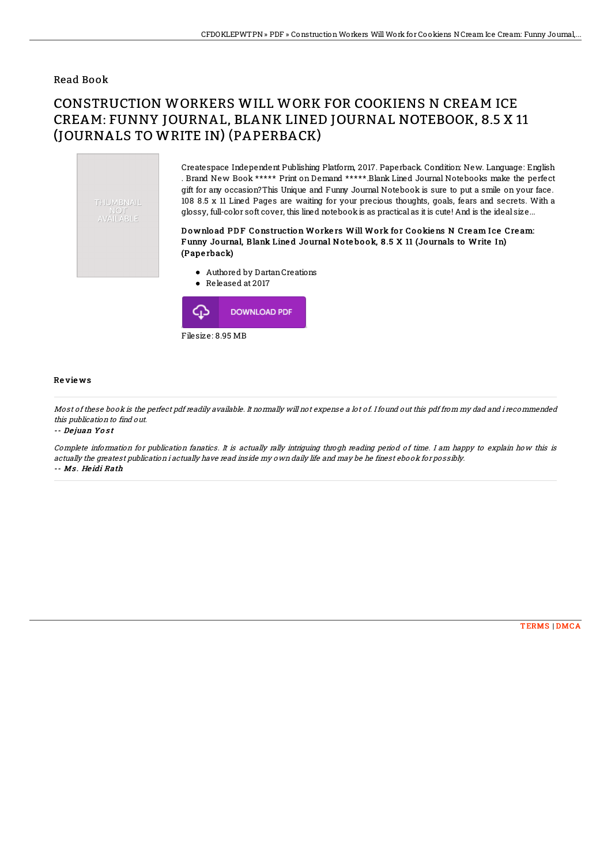### Read Book

# CONSTRUCTION WORKERS WILL WORK FOR COOKIENS N CREAM ICE CREAM: FUNNY JOURNAL, BLANK LINED JOURNAL NOTEBOOK, 8.5 X 11 (JOURNALS TO WRITE IN) (PAPERBACK)



Createspace Independent Publishing Platform, 2017. Paperback. Condition: New. Language: English . Brand New Book \*\*\*\*\* Print on Demand \*\*\*\*\*.Blank Lined Journal Notebooks make the perfect gift for any occasion?This Unique and Funny Journal Notebook is sure to put a smile on your face. 108 8.5 x 11 Lined Pages are waiting for your precious thoughts, goals, fears and secrets. With a glossy, full-color soft cover, this lined notebookis as practical as it is cute! And is the ideal size...

#### Download PDF Construction Workers Will Work for Cookiens N Cream Ice Cream: F unny Journal, Blank Line d Journal No te bo ok, 8 .5 X 11 (Journals to Write In) (Pape rback)

- Authored by DartanCreations
- Released at 2017



#### Re vie ws

Most of these book is the perfect pdf readily available. It normally will not expense <sup>a</sup> lot of. Ifound out this pdf from my dad and i recommended this publication to find out.

-- De juan Yo <sup>s</sup> <sup>t</sup>

Complete information for publication fanatics. It is actually rally intriguing throgh reading period of time. I am happy to explain how this is actually the greatest publication i actually have read inside my own daily life and may be he finest ebook for possibly. -- Ms . He idi Rath